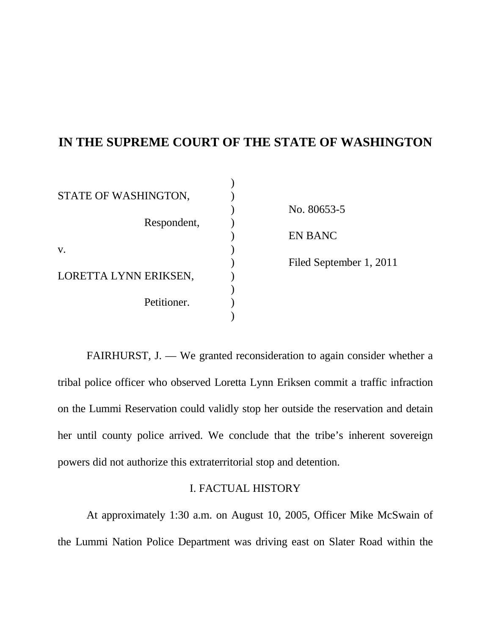# **IN THE SUPREME COURT OF THE STATE OF WASHINGTON**

| STATE OF WASHINGTON,  |                         |
|-----------------------|-------------------------|
|                       | No. 80653-5             |
| Respondent,           |                         |
|                       | <b>EN BANC</b>          |
| V.                    |                         |
|                       | Filed September 1, 2011 |
| LORETTA LYNN ERIKSEN, |                         |
|                       |                         |
| Petitioner.           |                         |
|                       |                         |

FAIRHURST, J. — We granted reconsideration to again consider whether a tribal police officer who observed Loretta Lynn Eriksen commit a traffic infraction on the Lummi Reservation could validly stop her outside the reservation and detain her until county police arrived. We conclude that the tribe's inherent sovereign powers did not authorize this extraterritorial stop and detention.

### I. FACTUAL HISTORY

At approximately 1:30 a.m. on August 10, 2005, Officer Mike McSwain of the Lummi Nation Police Department was driving east on Slater Road within the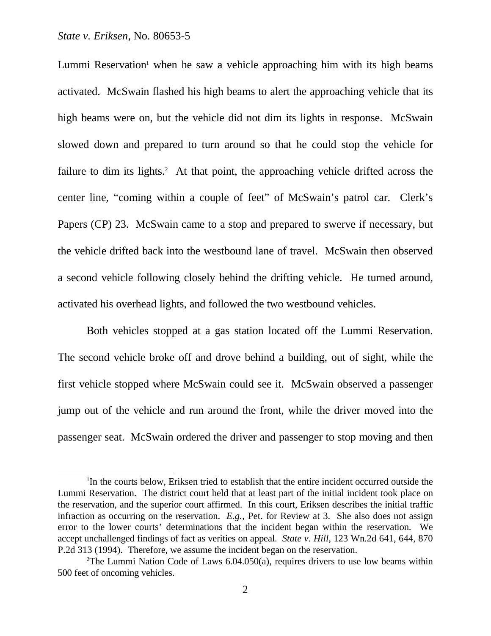Lummi Reservation<sup>1</sup> when he saw a vehicle approaching him with its high beams activated. McSwain flashed his high beams to alert the approaching vehicle that its high beams were on, but the vehicle did not dim its lights in response. McSwain slowed down and prepared to turn around so that he could stop the vehicle for failure to dim its lights.<sup>2</sup> At that point, the approaching vehicle drifted across the center line, "coming within a couple of feet" of McSwain's patrol car. Clerk's Papers (CP) 23. McSwain came to a stop and prepared to swerve if necessary, but the vehicle drifted back into the westbound lane of travel. McSwain then observed a second vehicle following closely behind the drifting vehicle. He turned around, activated his overhead lights, and followed the two westbound vehicles.

Both vehicles stopped at a gas station located off the Lummi Reservation. The second vehicle broke off and drove behind a building, out of sight, while the first vehicle stopped where McSwain could see it. McSwain observed a passenger jump out of the vehicle and run around the front, while the driver moved into the passenger seat. McSwain ordered the driver and passenger to stop moving and then

<sup>1</sup> In the courts below, Eriksen tried to establish that the entire incident occurred outside the Lummi Reservation. The district court held that at least part of the initial incident took place on the reservation, and the superior court affirmed. In this court, Eriksen describes the initial traffic infraction as occurring on the reservation. *E.g.*, Pet. for Review at 3. She also does not assign error to the lower courts' determinations that the incident began within the reservation. We accept unchallenged findings of fact as verities on appeal. *State v. Hill*, 123 Wn.2d 641, 644, 870 P.2d 313 (1994). Therefore, we assume the incident began on the reservation.

<sup>&</sup>lt;sup>2</sup>The Lummi Nation Code of Laws  $6.04.050(a)$ , requires drivers to use low beams within 500 feet of oncoming vehicles.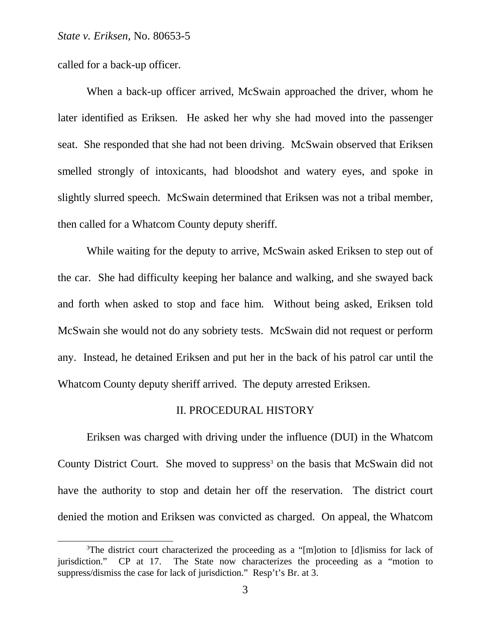called for a back-up officer.

When a back-up officer arrived, McSwain approached the driver, whom he later identified as Eriksen. He asked her why she had moved into the passenger seat. She responded that she had not been driving. McSwain observed that Eriksen smelled strongly of intoxicants, had bloodshot and watery eyes, and spoke in slightly slurred speech. McSwain determined that Eriksen was not a tribal member, then called for a Whatcom County deputy sheriff.

While waiting for the deputy to arrive, McSwain asked Eriksen to step out of the car. She had difficulty keeping her balance and walking, and she swayed back and forth when asked to stop and face him. Without being asked, Eriksen told McSwain she would not do any sobriety tests. McSwain did not request or perform any. Instead, he detained Eriksen and put her in the back of his patrol car until the Whatcom County deputy sheriff arrived. The deputy arrested Eriksen.

### II. PROCEDURAL HISTORY

Eriksen was charged with driving under the influence (DUI) in the Whatcom County District Court. She moved to suppress<sup>3</sup> on the basis that McSwain did not have the authority to stop and detain her off the reservation. The district court denied the motion and Eriksen was convicted as charged. On appeal, the Whatcom

<sup>&</sup>lt;sup>3</sup>The district court characterized the proceeding as a "[m]otion to [d]ismiss for lack of jurisdiction." CP at 17. The State now characterizes the proceeding as a "motion to suppress/dismiss the case for lack of jurisdiction." Resp't's Br. at 3.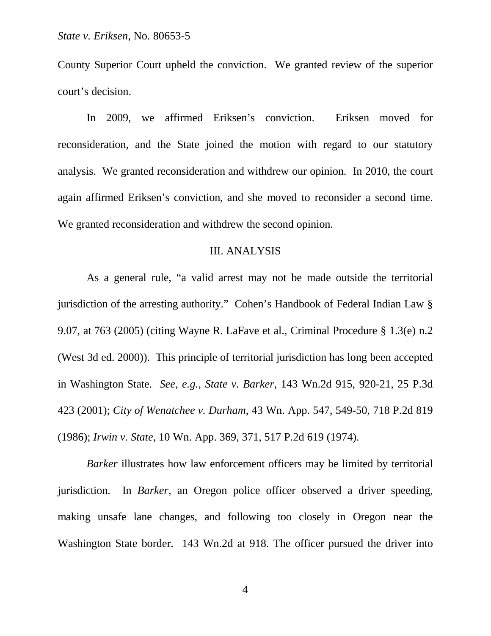County Superior Court upheld the conviction. We granted review of the superior court's decision.

In 2009, we affirmed Eriksen's conviction. Eriksen moved for reconsideration, and the State joined the motion with regard to our statutory analysis. We granted reconsideration and withdrew our opinion. In 2010, the court again affirmed Eriksen's conviction, and she moved to reconsider a second time. We granted reconsideration and withdrew the second opinion.

#### III. ANALYSIS

As a general rule, "a valid arrest may not be made outside the territorial jurisdiction of the arresting authority." Cohen's Handbook of Federal Indian Law § 9.07, at 763 (2005) (citing Wayne R. LaFave et al., Criminal Procedure § 1.3(e) n.2 (West 3d ed. 2000)). This principle of territorial jurisdiction has long been accepted in Washington State. *See, e.g., State v. Barker*, 143 Wn.2d 915, 920-21, 25 P.3d 423 (2001); *City of Wenatchee v. Durham*, 43 Wn. App. 547, 549-50, 718 P.2d 819 (1986); *Irwin v. State*, 10 Wn. App. 369, 371, 517 P.2d 619 (1974).

*Barker* illustrates how law enforcement officers may be limited by territorial jurisdiction. In *Barker*, an Oregon police officer observed a driver speeding, making unsafe lane changes, and following too closely in Oregon near the Washington State border. 143 Wn.2d at 918. The officer pursued the driver into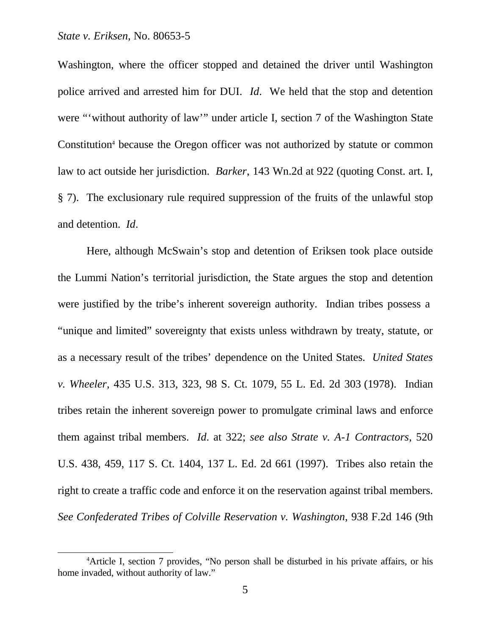Washington, where the officer stopped and detained the driver until Washington police arrived and arrested him for DUI. *Id*. We held that the stop and detention were "'without authority of law'" under article I, section 7 of the Washington State Constitution<sup>4</sup> because the Oregon officer was not authorized by statute or common law to act outside her jurisdiction. *Barker*, 143 Wn.2d at 922 (quoting Const. art. I, § 7). The exclusionary rule required suppression of the fruits of the unlawful stop and detention. *Id*.

Here, although McSwain's stop and detention of Eriksen took place outside the Lummi Nation's territorial jurisdiction, the State argues the stop and detention were justified by the tribe's inherent sovereign authority. Indian tribes possess a "unique and limited" sovereignty that exists unless withdrawn by treaty, statute, or as a necessary result of the tribes' dependence on the United States. *United States v. Wheeler*, 435 U.S. 313, 323, 98 S. Ct. 1079, 55 L. Ed. 2d 303 (1978). Indian tribes retain the inherent sovereign power to promulgate criminal laws and enforce them against tribal members. *Id*. at 322; *see also Strate v. A-1 Contractors*, 520 U.S. 438, 459, 117 S. Ct. 1404, 137 L. Ed. 2d 661 (1997). Tribes also retain the right to create a traffic code and enforce it on the reservation against tribal members. *See Confederated Tribes of Colville Reservation v. Washington*, 938 F.2d 146 (9th

<sup>&</sup>lt;sup>4</sup>Article I, section 7 provides, "No person shall be disturbed in his private affairs, or his home invaded, without authority of law."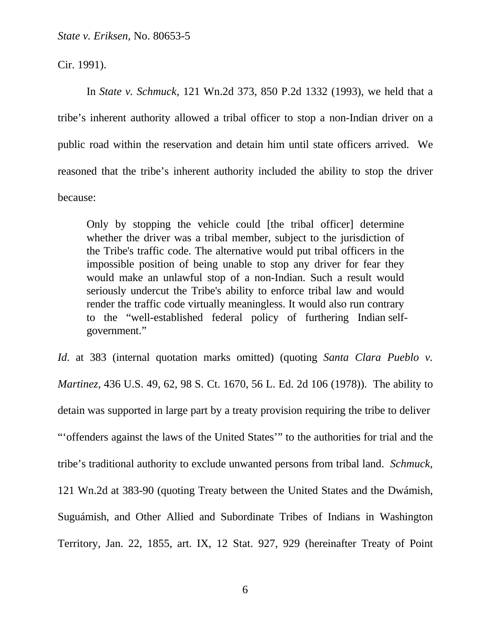Cir. 1991).

In *State v. Schmuck*, 121 Wn.2d 373, 850 P.2d 1332 (1993), we held that a tribe's inherent authority allowed a tribal officer to stop a non-Indian driver on a public road within the reservation and detain him until state officers arrived. We reasoned that the tribe's inherent authority included the ability to stop the driver because:

Only by stopping the vehicle could [the tribal officer] determine whether the driver was a tribal member, subject to the jurisdiction of the Tribe's traffic code. The alternative would put tribal officers in the impossible position of being unable to stop any driver for fear they would make an unlawful stop of a non-Indian. Such a result would seriously undercut the Tribe's ability to enforce tribal law and would render the traffic code virtually meaningless. It would also run contrary to the "well-established federal policy of furthering Indian selfgovernment."

*Id*. at 383 (internal quotation marks omitted) (quoting *Santa Clara Pueblo v. Martinez,* 436 U.S. 49, 62, 98 S. Ct. 1670, 56 L. Ed. 2d 106 (1978)). The ability to detain was supported in large part by a treaty provision requiring the tribe to deliver "'offenders against the laws of the United States'" to the authorities for trial and the tribe's traditional authority to exclude unwanted persons from tribal land. *Schmuck*, 121 Wn.2d at 383-90 (quoting Treaty between the United States and the Dwámish, Suguámish, and Other Allied and Subordinate Tribes of Indians in Washington Territory, Jan. 22, 1855, art. IX, 12 Stat. 927, 929 (hereinafter Treaty of Point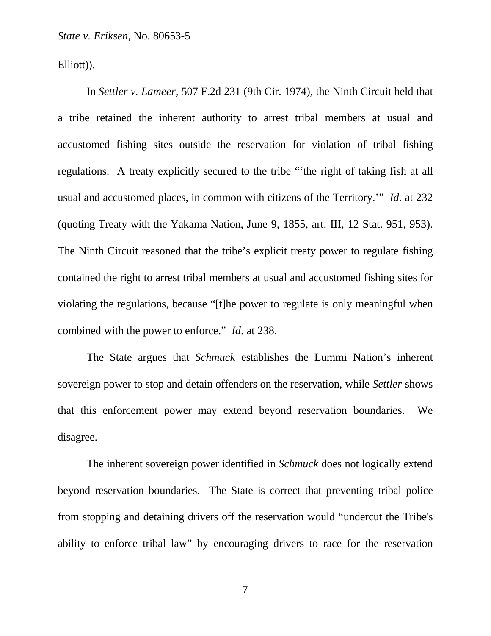Elliott)).

In *Settler v. Lameer*, 507 F.2d 231 (9th Cir. 1974), the Ninth Circuit held that a tribe retained the inherent authority to arrest tribal members at usual and accustomed fishing sites outside the reservation for violation of tribal fishing regulations. A treaty explicitly secured to the tribe "'the right of taking fish at all usual and accustomed places, in common with citizens of the Territory.'" *Id*. at 232 (quoting Treaty with the Yakama Nation, June 9, 1855, art. III, 12 Stat. 951, 953). The Ninth Circuit reasoned that the tribe's explicit treaty power to regulate fishing contained the right to arrest tribal members at usual and accustomed fishing sites for violating the regulations, because "[t]he power to regulate is only meaningful when combined with the power to enforce." *Id*. at 238.

The State argues that *Schmuck* establishes the Lummi Nation's inherent sovereign power to stop and detain offenders on the reservation, while *Settler* shows that this enforcement power may extend beyond reservation boundaries. We disagree.

The inherent sovereign power identified in *Schmuck* does not logically extend beyond reservation boundaries. The State is correct that preventing tribal police from stopping and detaining drivers off the reservation would "undercut the Tribe's ability to enforce tribal law" by encouraging drivers to race for the reservation

7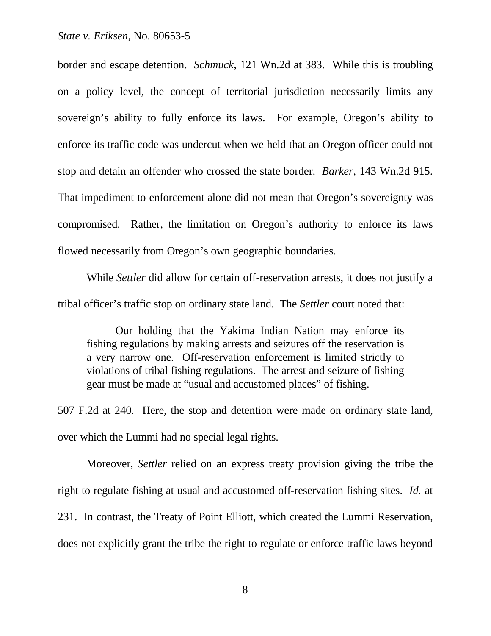border and escape detention. *Schmuck*, 121 Wn.2d at 383. While this is troubling on a policy level, the concept of territorial jurisdiction necessarily limits any sovereign's ability to fully enforce its laws. For example, Oregon's ability to enforce its traffic code was undercut when we held that an Oregon officer could not stop and detain an offender who crossed the state border. *Barker*, 143 Wn.2d 915. That impediment to enforcement alone did not mean that Oregon's sovereignty was compromised. Rather, the limitation on Oregon's authority to enforce its laws flowed necessarily from Oregon's own geographic boundaries.

While *Settler* did allow for certain off-reservation arrests, it does not justify a tribal officer's traffic stop on ordinary state land. The *Settler* court noted that:

Our holding that the Yakima Indian Nation may enforce its fishing regulations by making arrests and seizures off the reservation is a very narrow one. Off-reservation enforcement is limited strictly to violations of tribal fishing regulations. The arrest and seizure of fishing gear must be made at "usual and accustomed places" of fishing.

507 F.2d at 240. Here, the stop and detention were made on ordinary state land, over which the Lummi had no special legal rights.

Moreover, *Settler* relied on an express treaty provision giving the tribe the right to regulate fishing at usual and accustomed off-reservation fishing sites. *Id.* at 231. In contrast, the Treaty of Point Elliott, which created the Lummi Reservation, does not explicitly grant the tribe the right to regulate or enforce traffic laws beyond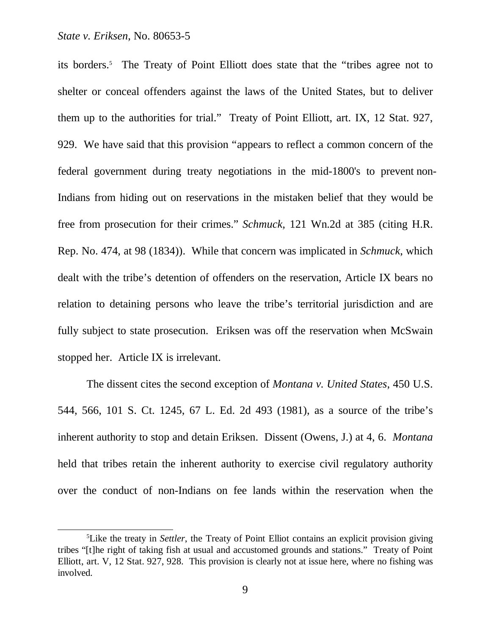its borders.<sup>5</sup> The Treaty of Point Elliott does state that the "tribes agree not to shelter or conceal offenders against the laws of the United States, but to deliver them up to the authorities for trial." Treaty of Point Elliott, art. IX, 12 Stat. 927, 929. We have said that this provision "appears to reflect a common concern of the federal government during treaty negotiations in the mid-1800's to prevent non-Indians from hiding out on reservations in the mistaken belief that they would be free from prosecution for their crimes." *Schmuck,* 121 Wn.2d at 385 (citing H.R. Rep. No. 474, at 98 (1834)). While that concern was implicated in *Schmuck*, which dealt with the tribe's detention of offenders on the reservation, Article IX bears no relation to detaining persons who leave the tribe's territorial jurisdiction and are fully subject to state prosecution. Eriksen was off the reservation when McSwain stopped her. Article IX is irrelevant.

The dissent cites the second exception of *Montana v. United States*, 450 U.S. 544, 566, 101 S. Ct. 1245, 67 L. Ed. 2d 493 (1981), as a source of the tribe's inherent authority to stop and detain Eriksen. Dissent (Owens, J.) at 4, 6. *Montana* held that tribes retain the inherent authority to exercise civil regulatory authority over the conduct of non-Indians on fee lands within the reservation when the

<sup>5</sup>Like the treaty in *Settler*, the Treaty of Point Elliot contains an explicit provision giving tribes "[t]he right of taking fish at usual and accustomed grounds and stations." Treaty of Point Elliott, art. V, 12 Stat. 927, 928. This provision is clearly not at issue here, where no fishing was involved.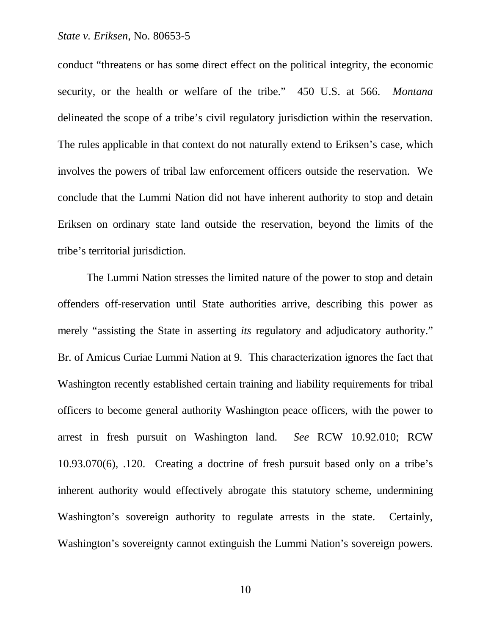conduct "threatens or has some direct effect on the political integrity, the economic security, or the health or welfare of the tribe." 450 U.S. at 566. *Montana* delineated the scope of a tribe's civil regulatory jurisdiction within the reservation. The rules applicable in that context do not naturally extend to Eriksen's case, which involves the powers of tribal law enforcement officers outside the reservation. We conclude that the Lummi Nation did not have inherent authority to stop and detain Eriksen on ordinary state land outside the reservation, beyond the limits of the tribe's territorial jurisdiction.

The Lummi Nation stresses the limited nature of the power to stop and detain offenders off-reservation until State authorities arrive, describing this power as merely "assisting the State in asserting *its* regulatory and adjudicatory authority." Br. of Amicus Curiae Lummi Nation at 9. This characterization ignores the fact that Washington recently established certain training and liability requirements for tribal officers to become general authority Washington peace officers, with the power to arrest in fresh pursuit on Washington land. *See* RCW 10.92.010; RCW 10.93.070(6), .120. Creating a doctrine of fresh pursuit based only on a tribe's inherent authority would effectively abrogate this statutory scheme, undermining Washington's sovereign authority to regulate arrests in the state. Certainly, Washington's sovereignty cannot extinguish the Lummi Nation's sovereign powers.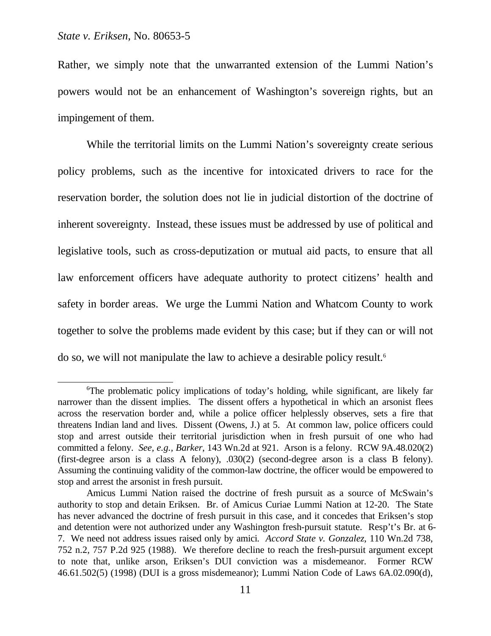Rather, we simply note that the unwarranted extension of the Lummi Nation's powers would not be an enhancement of Washington's sovereign rights, but an impingement of them.

While the territorial limits on the Lummi Nation's sovereignty create serious policy problems, such as the incentive for intoxicated drivers to race for the reservation border, the solution does not lie in judicial distortion of the doctrine of inherent sovereignty. Instead, these issues must be addressed by use of political and legislative tools, such as cross-deputization or mutual aid pacts, to ensure that all law enforcement officers have adequate authority to protect citizens' health and safety in border areas. We urge the Lummi Nation and Whatcom County to work together to solve the problems made evident by this case; but if they can or will not do so, we will not manipulate the law to achieve a desirable policy result.6

<sup>6</sup>The problematic policy implications of today's holding, while significant, are likely far narrower than the dissent implies. The dissent offers a hypothetical in which an arsonist flees across the reservation border and, while a police officer helplessly observes, sets a fire that threatens Indian land and lives. Dissent (Owens, J.) at 5. At common law, police officers could stop and arrest outside their territorial jurisdiction when in fresh pursuit of one who had committed a felony. *See, e.g., Barker*, 143 Wn.2d at 921. Arson is a felony. RCW 9A.48.020(2) (first-degree arson is a class A felony), .030(2) (second-degree arson is a class B felony). Assuming the continuing validity of the common-law doctrine, the officer would be empowered to stop and arrest the arsonist in fresh pursuit.

Amicus Lummi Nation raised the doctrine of fresh pursuit as a source of McSwain's authority to stop and detain Eriksen. Br. of Amicus Curiae Lummi Nation at 12-20. The State has never advanced the doctrine of fresh pursuit in this case, and it concedes that Eriksen's stop and detention were not authorized under any Washington fresh-pursuit statute. Resp't's Br. at 6- 7. We need not address issues raised only by amici. *Accord State v. Gonzalez*, 110 Wn.2d 738, 752 n.2, 757 P.2d 925 (1988). We therefore decline to reach the fresh-pursuit argument except to note that, unlike arson, Eriksen's DUI conviction was a misdemeanor. Former RCW 46.61.502(5) (1998) (DUI is a gross misdemeanor); Lummi Nation Code of Laws 6A.02.090(d),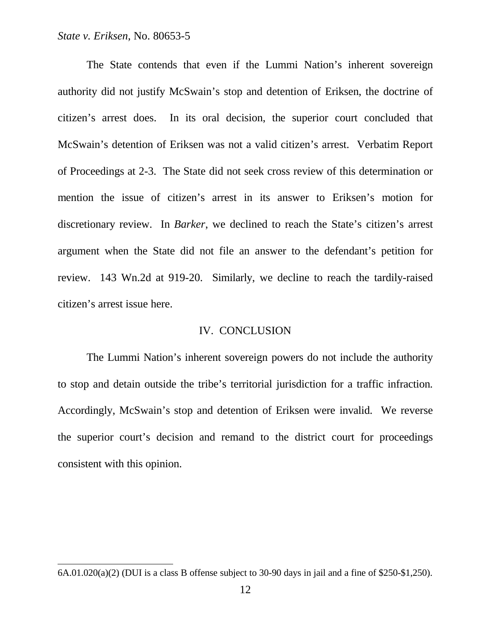The State contends that even if the Lummi Nation's inherent sovereign authority did not justify McSwain's stop and detention of Eriksen, the doctrine of citizen's arrest does. In its oral decision, the superior court concluded that McSwain's detention of Eriksen was not a valid citizen's arrest. Verbatim Report of Proceedings at 2-3. The State did not seek cross review of this determination or mention the issue of citizen's arrest in its answer to Eriksen's motion for discretionary review. In *Barker*, we declined to reach the State's citizen's arrest argument when the State did not file an answer to the defendant's petition for review. 143 Wn.2d at 919-20. Similarly, we decline to reach the tardily-raised citizen's arrest issue here.

#### IV. CONCLUSION

The Lummi Nation's inherent sovereign powers do not include the authority to stop and detain outside the tribe's territorial jurisdiction for a traffic infraction. Accordingly, McSwain's stop and detention of Eriksen were invalid. We reverse the superior court's decision and remand to the district court for proceedings consistent with this opinion.

<sup>6</sup>A.01.020(a)(2) (DUI is a class B offense subject to 30-90 days in jail and a fine of \$250-\$1,250).